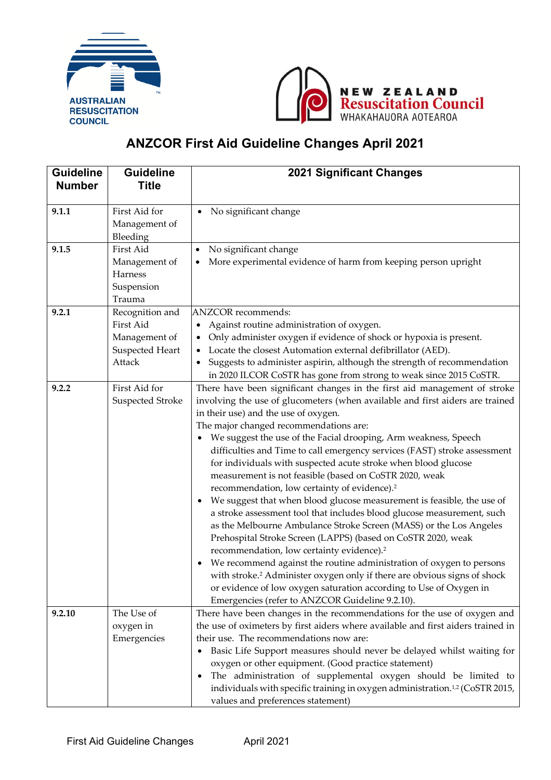



## **ANZCOR First Aid Guideline Changes April 2021**

| <b>Guideline</b><br><b>Number</b> | <b>Guideline</b><br><b>Title</b>                                           | <b>2021 Significant Changes</b>                                                                                                                                                                                                                                                                                                                                                                                                                                                                                                                                                                                                                                                                                                                                                                                                                                                                                                                                                                                                                                                                                                                                                                                                      |
|-----------------------------------|----------------------------------------------------------------------------|--------------------------------------------------------------------------------------------------------------------------------------------------------------------------------------------------------------------------------------------------------------------------------------------------------------------------------------------------------------------------------------------------------------------------------------------------------------------------------------------------------------------------------------------------------------------------------------------------------------------------------------------------------------------------------------------------------------------------------------------------------------------------------------------------------------------------------------------------------------------------------------------------------------------------------------------------------------------------------------------------------------------------------------------------------------------------------------------------------------------------------------------------------------------------------------------------------------------------------------|
|                                   |                                                                            |                                                                                                                                                                                                                                                                                                                                                                                                                                                                                                                                                                                                                                                                                                                                                                                                                                                                                                                                                                                                                                                                                                                                                                                                                                      |
| 9.1.1                             | First Aid for<br>Management of<br>Bleeding                                 | No significant change<br>$\bullet$                                                                                                                                                                                                                                                                                                                                                                                                                                                                                                                                                                                                                                                                                                                                                                                                                                                                                                                                                                                                                                                                                                                                                                                                   |
| 9.1.5                             | First Aid<br>Management of<br>Harness<br>Suspension<br>Trauma              | No significant change<br>More experimental evidence of harm from keeping person upright                                                                                                                                                                                                                                                                                                                                                                                                                                                                                                                                                                                                                                                                                                                                                                                                                                                                                                                                                                                                                                                                                                                                              |
| 9.2.1                             | Recognition and<br>First Aid<br>Management of<br>Suspected Heart<br>Attack | <b>ANZCOR</b> recommends:<br>Against routine administration of oxygen.<br>Only administer oxygen if evidence of shock or hypoxia is present.<br>Locate the closest Automation external defibrillator (AED).<br>Suggests to administer aspirin, although the strength of recommendation<br>in 2020 ILCOR CoSTR has gone from strong to weak since 2015 CoSTR.                                                                                                                                                                                                                                                                                                                                                                                                                                                                                                                                                                                                                                                                                                                                                                                                                                                                         |
| 9.2.2                             | First Aid for<br>Suspected Stroke                                          | There have been significant changes in the first aid management of stroke<br>involving the use of glucometers (when available and first aiders are trained<br>in their use) and the use of oxygen.<br>The major changed recommendations are:<br>• We suggest the use of the Facial drooping, Arm weakness, Speech<br>difficulties and Time to call emergency services (FAST) stroke assessment<br>for individuals with suspected acute stroke when blood glucose<br>measurement is not feasible (based on CoSTR 2020, weak<br>recommendation, low certainty of evidence). <sup>2</sup><br>• We suggest that when blood glucose measurement is feasible, the use of<br>a stroke assessment tool that includes blood glucose measurement, such<br>as the Melbourne Ambulance Stroke Screen (MASS) or the Los Angeles<br>Prehospital Stroke Screen (LAPPS) (based on CoSTR 2020, weak<br>recommendation, low certainty evidence). <sup>2</sup><br>We recommend against the routine administration of oxygen to persons<br>with stroke. <sup>2</sup> Administer oxygen only if there are obvious signs of shock<br>or evidence of low oxygen saturation according to Use of Oxygen in<br>Emergencies (refer to ANZCOR Guideline 9.2.10). |
| 9.2.10                            | The Use of<br>oxygen in<br>Emergencies                                     | There have been changes in the recommendations for the use of oxygen and<br>the use of oximeters by first aiders where available and first aiders trained in<br>their use. The recommendations now are:<br>Basic Life Support measures should never be delayed whilst waiting for<br>٠<br>oxygen or other equipment. (Good practice statement)<br>The administration of supplemental oxygen should be limited to<br>٠<br>individuals with specific training in oxygen administration. <sup>1,2</sup> (CoSTR 2015,<br>values and preferences statement)                                                                                                                                                                                                                                                                                                                                                                                                                                                                                                                                                                                                                                                                               |